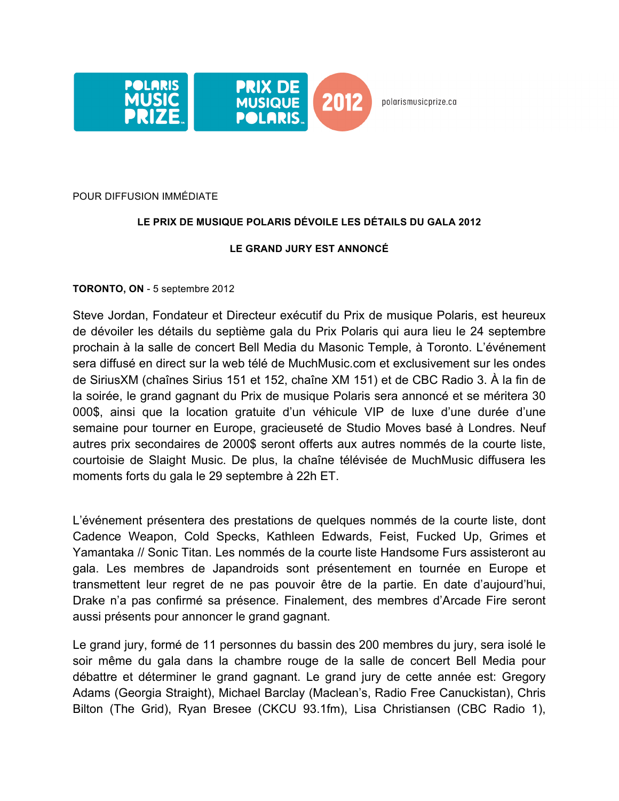

polarismusicprize.ca

### POUR DIFFUSION IMMÉDIATE

## **LE PRIX DE MUSIQUE POLARIS DÉVOILE LES DÉTAILS DU GALA 2012**

## **LE GRAND JURY EST ANNONCÉ**

## **TORONTO, ON** - 5 septembre 2012

Steve Jordan, Fondateur et Directeur exécutif du Prix de musique Polaris, est heureux de dévoiler les détails du septième gala du Prix Polaris qui aura lieu le 24 septembre prochain à la salle de concert Bell Media du Masonic Temple, à Toronto. L'événement sera diffusé en direct sur la web télé de MuchMusic.com et exclusivement sur les ondes de SiriusXM (chaînes Sirius 151 et 152, chaîne XM 151) et de CBC Radio 3. À la fin de la soirée, le grand gagnant du Prix de musique Polaris sera annoncé et se méritera 30 000\$, ainsi que la location gratuite d'un véhicule VIP de luxe d'une durée d'une semaine pour tourner en Europe, gracieuseté de Studio Moves basé à Londres. Neuf autres prix secondaires de 2000\$ seront offerts aux autres nommés de la courte liste, courtoisie de Slaight Music. De plus, la chaîne télévisée de MuchMusic diffusera les moments forts du gala le 29 septembre à 22h ET.

L'événement présentera des prestations de quelques nommés de la courte liste, dont Cadence Weapon, Cold Specks, Kathleen Edwards, Feist, Fucked Up, Grimes et Yamantaka // Sonic Titan. Les nommés de la courte liste Handsome Furs assisteront au gala. Les membres de Japandroids sont présentement en tournée en Europe et transmettent leur regret de ne pas pouvoir être de la partie. En date d'aujourd'hui, Drake n'a pas confirmé sa présence. Finalement, des membres d'Arcade Fire seront aussi présents pour annoncer le grand gagnant.

Le grand jury, formé de 11 personnes du bassin des 200 membres du jury, sera isolé le soir même du gala dans la chambre rouge de la salle de concert Bell Media pour débattre et déterminer le grand gagnant. Le grand jury de cette année est: Gregory Adams (Georgia Straight), Michael Barclay (Maclean's, Radio Free Canuckistan), Chris Bilton (The Grid), Ryan Bresee (CKCU 93.1fm), Lisa Christiansen (CBC Radio 1),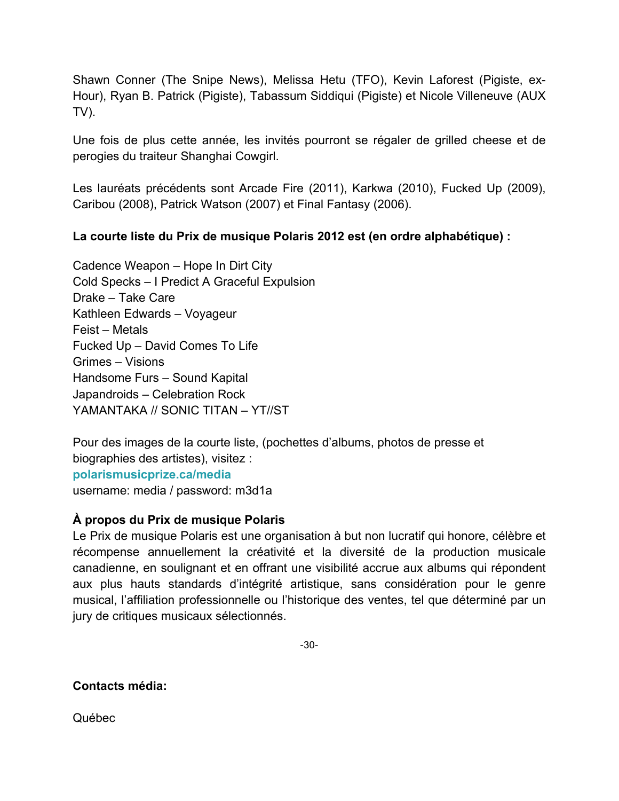Shawn Conner (The Snipe News), Melissa Hetu (TFO), Kevin Laforest (Pigiste, ex-Hour), Ryan B. Patrick (Pigiste), Tabassum Siddiqui (Pigiste) et Nicole Villeneuve (AUX TV).

Une fois de plus cette année, les invités pourront se régaler de grilled cheese et de perogies du traiteur Shanghai Cowgirl.

Les lauréats précédents sont Arcade Fire (2011), Karkwa (2010), Fucked Up (2009), Caribou (2008), Patrick Watson (2007) et Final Fantasy (2006).

# **La courte liste du Prix de musique Polaris 2012 est (en ordre alphabétique) :**

Cadence Weapon – Hope In Dirt City Cold Specks – I Predict A Graceful Expulsion Drake – Take Care Kathleen Edwards – Voyageur Feist – Metals Fucked Up – David Comes To Life Grimes – Visions Handsome Furs – Sound Kapital Japandroids – Celebration Rock YAMANTAKA // SONIC TITAN – YT//ST

Pour des images de la courte liste, (pochettes d'albums, photos de presse et biographies des artistes), visitez : **polarismusicprize.ca/media** username: media / password: m3d1a

# **À propos du Prix de musique Polaris**

Le Prix de musique Polaris est une organisation à but non lucratif qui honore, célèbre et récompense annuellement la créativité et la diversité de la production musicale canadienne, en soulignant et en offrant une visibilité accrue aux albums qui répondent aux plus hauts standards d'intégrité artistique, sans considération pour le genre musical, l'affiliation professionnelle ou l'historique des ventes, tel que déterminé par un jury de critiques musicaux sélectionnés.

-30-

**Contacts média:**

Québec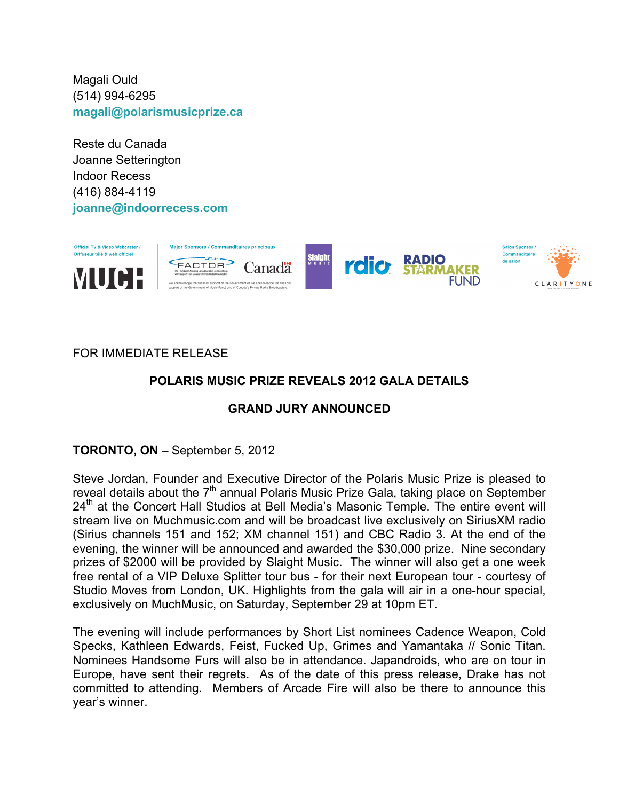Magali Ould (514) 994-6295 **magali@polarismusicprize.ca**

Reste du Canada Joanne Setterington Indoor Recess (416) 884-4119 **joanne@indoorrecess.com**



# FOR IMMEDIATE RELEASE

# **POLARIS MUSIC PRIZE REVEALS 2012 GALA DETAILS**

## **GRAND JURY ANNOUNCED**

**TORONTO, ON** – September 5, 2012

Steve Jordan, Founder and Executive Director of the Polaris Music Prize is pleased to reveal details about the  $7<sup>th</sup>$  annual Polaris Music Prize Gala, taking place on September  $24<sup>th</sup>$  at the Concert Hall Studios at Bell Media's Masonic Temple. The entire event will stream live on Muchmusic.com and will be broadcast live exclusively on SiriusXM radio (Sirius channels 151 and 152; XM channel 151) and CBC Radio 3. At the end of the evening, the winner will be announced and awarded the \$30,000 prize. Nine secondary prizes of \$2000 will be provided by Slaight Music. The winner will also get a one week free rental of a VIP Deluxe Splitter tour bus - for their next European tour - courtesy of Studio Moves from London, UK. Highlights from the gala will air in a one-hour special, exclusively on MuchMusic, on Saturday, September 29 at 10pm ET.

The evening will include performances by Short List nominees Cadence Weapon, Cold Specks, Kathleen Edwards, Feist, Fucked Up, Grimes and Yamantaka // Sonic Titan. Nominees Handsome Furs will also be in attendance. Japandroids, who are on tour in Europe, have sent their regrets. As of the date of this press release, Drake has not committed to attending. Members of Arcade Fire will also be there to announce this year's winner.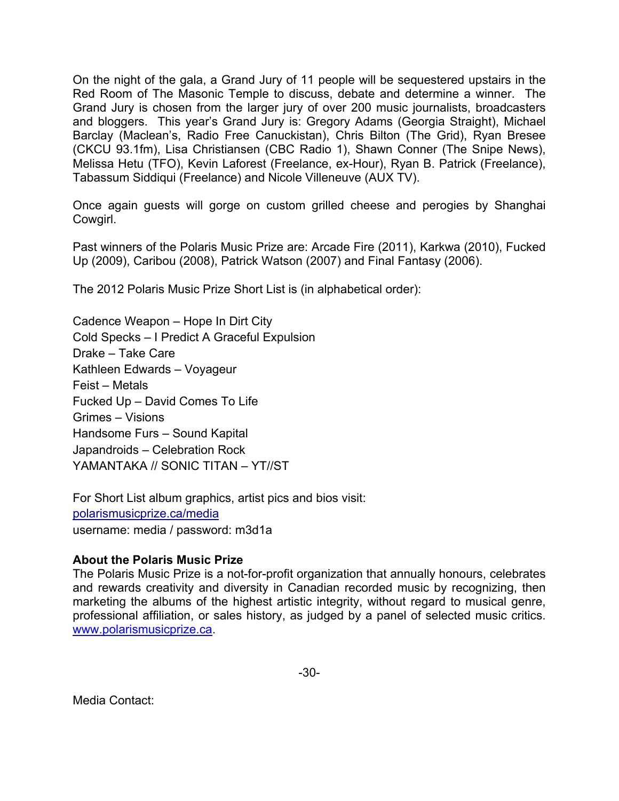On the night of the gala, a Grand Jury of 11 people will be sequestered upstairs in the Red Room of The Masonic Temple to discuss, debate and determine a winner. The Grand Jury is chosen from the larger jury of over 200 music journalists, broadcasters and bloggers. This year's Grand Jury is: Gregory Adams (Georgia Straight), Michael Barclay (Maclean's, Radio Free Canuckistan), Chris Bilton (The Grid), Ryan Bresee (CKCU 93.1fm), Lisa Christiansen (CBC Radio 1), Shawn Conner (The Snipe News), Melissa Hetu (TFO), Kevin Laforest (Freelance, ex-Hour), Ryan B. Patrick (Freelance), Tabassum Siddiqui (Freelance) and Nicole Villeneuve (AUX TV).

Once again guests will gorge on custom grilled cheese and perogies by Shanghai Cowgirl.

Past winners of the Polaris Music Prize are: Arcade Fire (2011), Karkwa (2010), Fucked Up (2009), Caribou (2008), Patrick Watson (2007) and Final Fantasy (2006).

The 2012 Polaris Music Prize Short List is (in alphabetical order):

Cadence Weapon – Hope In Dirt City Cold Specks – I Predict A Graceful Expulsion Drake – Take Care Kathleen Edwards – Voyageur Feist – Metals Fucked Up – David Comes To Life Grimes – Visions Handsome Furs – Sound Kapital Japandroids – Celebration Rock YAMANTAKA // SONIC TITAN – YT//ST

For Short List album graphics, artist pics and bios visit: polarismusicprize.ca/media username: media / password: m3d1a

## **About the Polaris Music Prize**

The Polaris Music Prize is a not-for-profit organization that annually honours, celebrates and rewards creativity and diversity in Canadian recorded music by recognizing, then marketing the albums of the highest artistic integrity, without regard to musical genre, professional affiliation, or sales history, as judged by a panel of selected music critics. www.polarismusicprize.ca.

Media Contact: